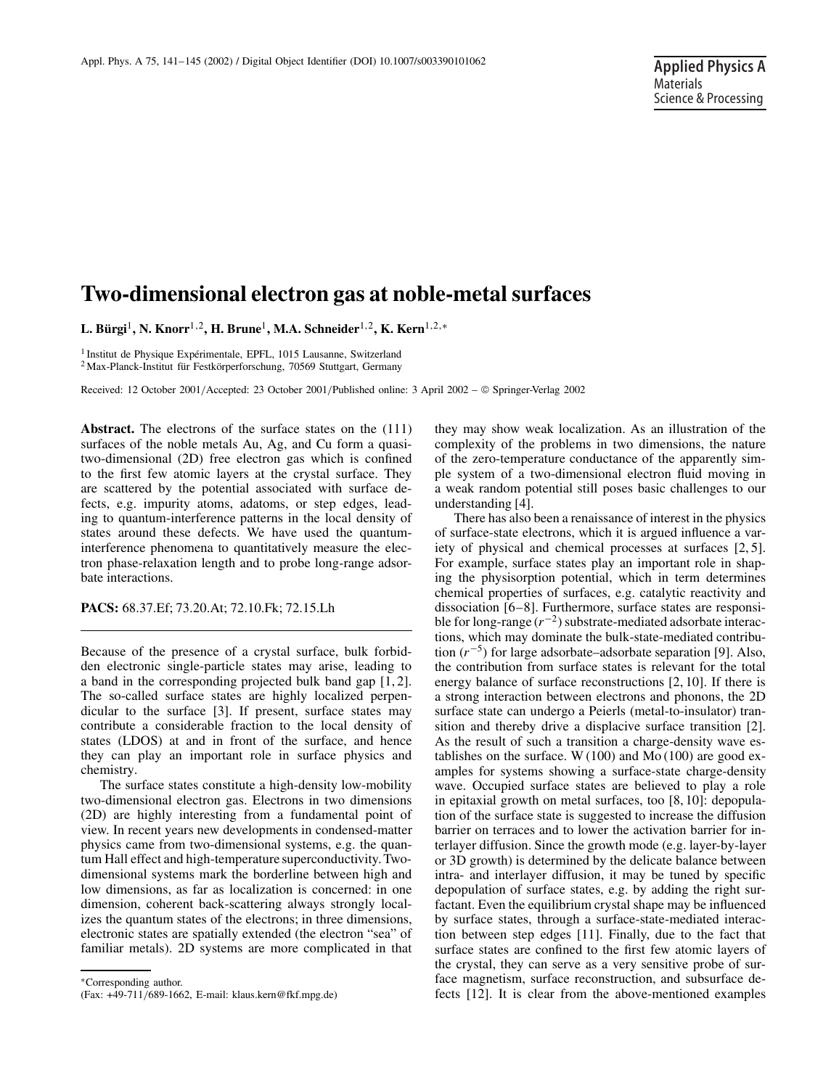# **Two-dimensional electron gas at noble-metal surfaces**

**L. Bürgi**1**, N. Knorr**1,2**, H. Brune**1**, M.A. Schneider**1,2**, K. Kern**1,2,<sup>∗</sup>

<sup>1</sup> Institut de Physique Expérimentale, EPFL, 1015 Lausanne, Switzerland <sup>2</sup> Max-Planck-Institut für Festkörperforschung, 70569 Stuttgart, Germany

Received: 12 October 2001/Accepted: 23 October 2001/Published online: 3 April 2002 – © Springer-Verlag 2002

**Abstract.** The electrons of the surface states on the (111) surfaces of the noble metals Au, Ag, and Cu form a quasitwo-dimensional (2D) free electron gas which is confined to the first few atomic layers at the crystal surface. They are scattered by the potential associated with surface defects, e.g. impurity atoms, adatoms, or step edges, leading to quantum-interference patterns in the local density of states around these defects. We have used the quantuminterference phenomena to quantitatively measure the electron phase-relaxation length and to probe long-range adsorbate interactions.

**PACS:** 68.37.Ef; 73.20.At; 72.10.Fk; 72.15.Lh

Because of the presence of a crystal surface, bulk forbidden electronic single-particle states may arise, leading to a band in the corresponding projected bulk band gap [1, 2]. The so-called surface states are highly localized perpendicular to the surface [3]. If present, surface states may contribute a considerable fraction to the local density of states (LDOS) at and in front of the surface, and hence they can play an important role in surface physics and chemistry.

The surface states constitute a high-density low-mobility two-dimensional electron gas. Electrons in two dimensions (2D) are highly interesting from a fundamental point of view. In recent years new developments in condensed-matter physics came from two-dimensional systems, e.g. the quantum Hall effect and high-temperature superconductivity. Twodimensional systems mark the borderline between high and low dimensions, as far as localization is concerned: in one dimension, coherent back-scattering always strongly localizes the quantum states of the electrons; in three dimensions, electronic states are spatially extended (the electron "sea" of familiar metals). 2D systems are more complicated in that

∗Corresponding author.

they may show weak localization. As an illustration of the complexity of the problems in two dimensions, the nature of the zero-temperature conductance of the apparently simple system of a two-dimensional electron fluid moving in a weak random potential still poses basic challenges to our understanding [4].

There has also been a renaissance of interest in the physics of surface-state electrons, which it is argued influence a variety of physical and chemical processes at surfaces [2, 5]. For example, surface states play an important role in shaping the physisorption potential, which in term determines chemical properties of surfaces, e.g. catalytic reactivity and dissociation [6–8]. Furthermore, surface states are responsible for long-range (*r*−2) substrate-mediated adsorbate interactions, which may dominate the bulk-state-mediated contribution (*r*−5) for large adsorbate–adsorbate separation [9]. Also, the contribution from surface states is relevant for the total energy balance of surface reconstructions [2, 10]. If there is a strong interaction between electrons and phonons, the 2D surface state can undergo a Peierls (metal-to-insulator) transition and thereby drive a displacive surface transition [2]. As the result of such a transition a charge-density wave establishes on the surface. W  $(100)$  and Mo $(100)$  are good examples for systems showing a surface-state charge-density wave. Occupied surface states are believed to play a role in epitaxial growth on metal surfaces, too [8, 10]: depopulation of the surface state is suggested to increase the diffusion barrier on terraces and to lower the activation barrier for interlayer diffusion. Since the growth mode (e.g. layer-by-layer or 3D growth) is determined by the delicate balance between intra- and interlayer diffusion, it may be tuned by specific depopulation of surface states, e.g. by adding the right surfactant. Even the equilibrium crystal shape may be influenced by surface states, through a surface-state-mediated interaction between step edges [11]. Finally, due to the fact that surface states are confined to the first few atomic layers of the crystal, they can serve as a very sensitive probe of surface magnetism, surface reconstruction, and subsurface defects [12]. It is clear from the above-mentioned examples

<sup>(</sup>Fax: +49-711/689-1662, E-mail: klaus.kern@fkf.mpg.de)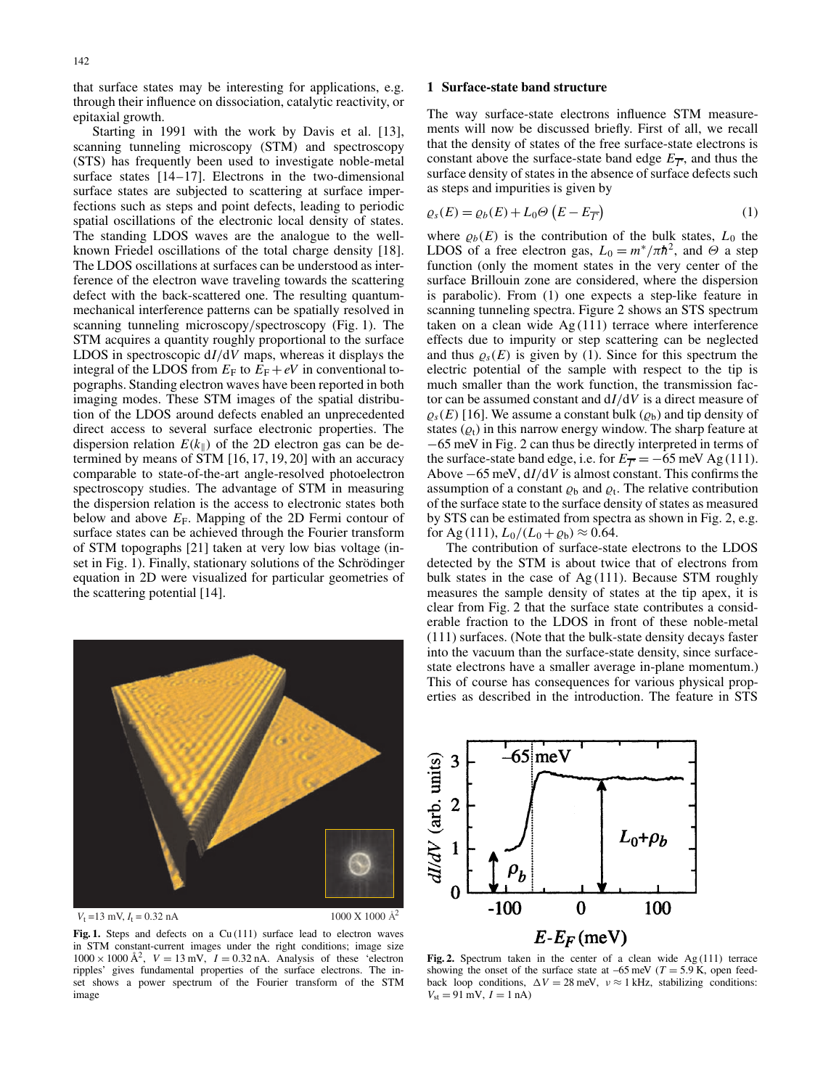that surface states may be interesting for applications, e.g. through their influence on dissociation, catalytic reactivity, or epitaxial growth.

Starting in 1991 with the work by Davis et al. [13], scanning tunneling microscopy (STM) and spectroscopy (STS) has frequently been used to investigate noble-metal surface states [14–17]. Electrons in the two-dimensional surface states are subjected to scattering at surface imperfections such as steps and point defects, leading to periodic spatial oscillations of the electronic local density of states. The standing LDOS waves are the analogue to the wellknown Friedel oscillations of the total charge density [18]. The LDOS oscillations at surfaces can be understood as interference of the electron wave traveling towards the scattering defect with the back-scattered one. The resulting quantummechanical interference patterns can be spatially resolved in scanning tunneling microscopy/spectroscopy (Fig. 1). The STM acquires a quantity roughly proportional to the surface LDOS in spectroscopic d*I*/d*V* maps, whereas it displays the integral of the LDOS from  $E_F$  to  $E_F + eV$  in conventional topographs. Standing electron waves have been reported in both imaging modes. These STM images of the spatial distribution of the LDOS around defects enabled an unprecedented direct access to several surface electronic properties. The dispersion relation  $E(k_{\parallel})$  of the 2D electron gas can be determined by means of STM [16, 17, 19, 20] with an accuracy comparable to state-of-the-art angle-resolved photoelectron spectroscopy studies. The advantage of STM in measuring the dispersion relation is the access to electronic states both below and above  $E_F$ . Mapping of the 2D Fermi contour of surface states can be achieved through the Fourier transform of STM topographs [21] taken at very low bias voltage (inset in Fig. 1). Finally, stationary solutions of the Schrödinger equation in 2D were visualized for particular geometries of the scattering potential [14].



 $V_t = 13$  mV,  $I_t = 0.32$  nA

 $1000 \text{ X}$  1000 Å<sup>2</sup>

Fig. 1. Steps and defects on a Cu (111) surface lead to electron waves in STM constant-current images under the right conditions; image size  $1000 \times 1000 \text{ Å}^2$ ,  $V = 13 \text{ mV}$ ,  $I = 0.32 \text{ nA}$ . Analysis of these 'electron ripples' gives fundamental properties of the surface electrons. The inset shows a power spectrum of the Fourier transform of the STM image

## **1 Surface-state band structure**

The way surface-state electrons influence STM measurements will now be discussed briefly. First of all, we recall that the density of states of the free surface-state electrons is constant above the surface-state band edge  $E_{\overline{T}}$ , and thus the surface density of states in the absence of surface defects such as steps and impurities is given by

$$
\varrho_s(E) = \varrho_b(E) + L_0 \Theta\left(E - E_{\overline{\Gamma}}\right) \tag{1}
$$

where  $\rho_b(E)$  is the contribution of the bulk states,  $L_0$  the LDOS of a free electron gas,  $L_0 = m^*/\pi h^2$ , and  $\Theta$  a step function (only the moment states in the very center of the surface Brillouin zone are considered, where the dispersion is parabolic). From (1) one expects a step-like feature in scanning tunneling spectra. Figure 2 shows an STS spectrum taken on a clean wide  $Ag(111)$  terrace where interference effects due to impurity or step scattering can be neglected and thus  $\rho_s(E)$  is given by (1). Since for this spectrum the electric potential of the sample with respect to the tip is much smaller than the work function, the transmission factor can be assumed constant and d*I*/d*V* is a direct measure of  $\varrho_s(E)$  [16]. We assume a constant bulk  $(\varrho_b)$  and tip density of states  $(\varrho_t)$  in this narrow energy window. The sharp feature at −65 meV in Fig. 2 can thus be directly interpreted in terms of the surface-state band edge, i.e. for  $E_{\overline{T}} = -65$  meV Ag (111). Above −65 meV, d*I*/d*V* is almost constant. This confirms the assumption of a constant  $\varrho_b$  and  $\varrho_t$ . The relative contribution of the surface state to the surface density of states as measured by STS can be estimated from spectra as shown in Fig. 2, e.g. for Ag (111),  $L_0/(L_0 + \varrho_b) \approx 0.64$ .

The contribution of surface-state electrons to the LDOS detected by the STM is about twice that of electrons from bulk states in the case of  $Ag(111)$ . Because STM roughly measures the sample density of states at the tip apex, it is clear from Fig. 2 that the surface state contributes a considerable fraction to the LDOS in front of these noble-metal (111) surfaces. (Note that the bulk-state density decays faster into the vacuum than the surface-state density, since surfacestate electrons have a smaller average in-plane momentum.) This of course has consequences for various physical properties as described in the introduction. The feature in STS



Fig. 2. Spectrum taken in the center of a clean wide  $Ag(111)$  terrace showing the onset of the surface state at  $-65$  meV ( $T = 5.9$  K, open feedback loop conditions,  $\Delta V = 28$  meV,  $v \approx 1$  kHz, stabilizing conditions:  $V_{\text{st}} = 91 \text{ mV}, I = 1 \text{ nA}$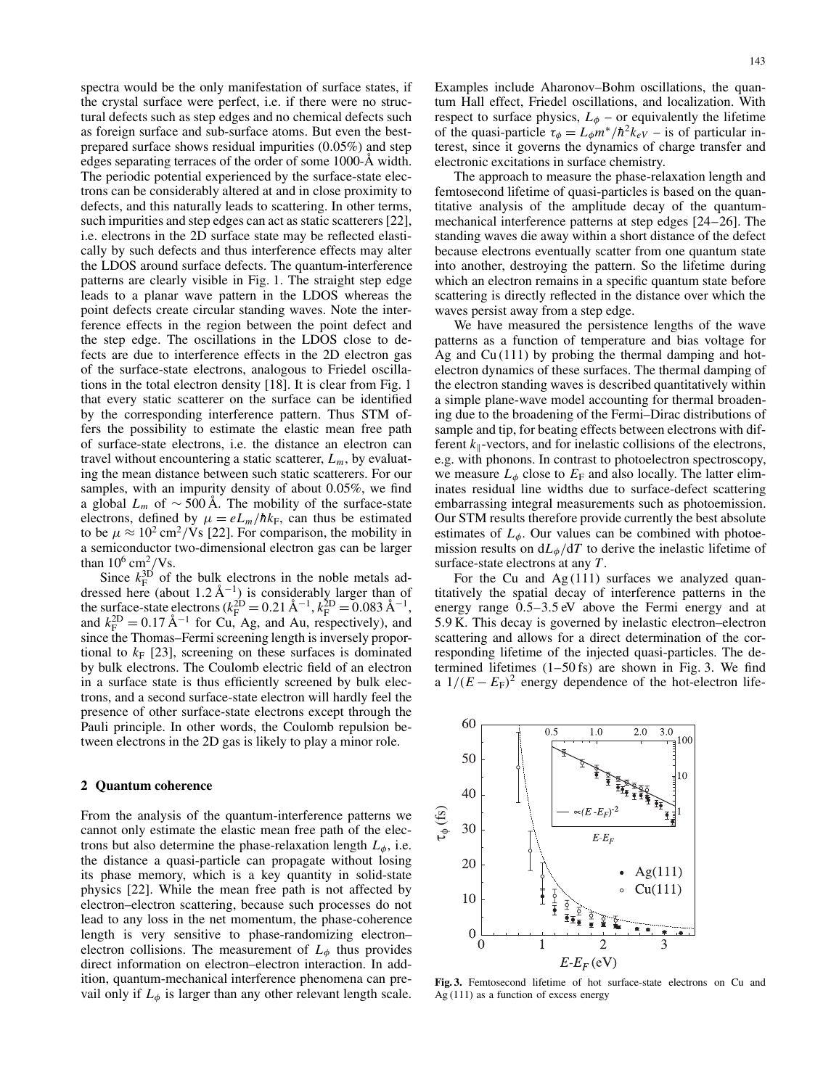spectra would be the only manifestation of surface states, if the crystal surface were perfect, i.e. if there were no structural defects such as step edges and no chemical defects such as foreign surface and sub-surface atoms. But even the bestprepared surface shows residual impurities (0.05%) and step edges separating terraces of the order of some 1000-Å width. The periodic potential experienced by the surface-state electrons can be considerably altered at and in close proximity to defects, and this naturally leads to scattering. In other terms, such impurities and step edges can act as static scatterers [22], i.e. electrons in the 2D surface state may be reflected elastically by such defects and thus interference effects may alter the LDOS around surface defects. The quantum-interference patterns are clearly visible in Fig. 1. The straight step edge leads to a planar wave pattern in the LDOS whereas the point defects create circular standing waves. Note the interference effects in the region between the point defect and the step edge. The oscillations in the LDOS close to defects are due to interference effects in the 2D electron gas of the surface-state electrons, analogous to Friedel oscillations in the total electron density [18]. It is clear from Fig. 1 that every static scatterer on the surface can be identified by the corresponding interference pattern. Thus STM offers the possibility to estimate the elastic mean free path of surface-state electrons, i.e. the distance an electron can travel without encountering a static scatterer,  $L_m$ , by evaluating the mean distance between such static scatterers. For our samples, with an impurity density of about 0.05%, we find a global  $L_m$  of ~500 Å. The mobility of the surface-state electrons, defined by  $\mu = eL_m/\hbar k_F$ , can thus be estimated to be  $\mu \approx 10^2 \text{ cm}^2/\text{Vs}$  [22]. For comparison, the mobility in a semiconductor two-dimensional electron gas can be larger than  $10^6$  cm<sup>2</sup>/Vs.

Since  $k_F^{3D}$  of the bulk electrons in the noble metals addressed here (about 1.2 Å<sup>-1</sup>) is considerably larger than of the surface-state electrons  $(k_{\rm F}^{\rm 2D} = 0.21 \text{ Å}^{-1}, k_{\rm F}^{\rm 2D} = 0.083 \text{ Å}^{-1},$ and  $k_{\rm F}^{\rm 2D} = 0.17 \text{ Å}^{-1}$  for Cu, Ag, and Au, respectively), and since the Thomas–Fermi screening length is inversely proportional to  $k_F$  [23], screening on these surfaces is dominated by bulk electrons. The Coulomb electric field of an electron in a surface state is thus efficiently screened by bulk electrons, and a second surface-state electron will hardly feel the presence of other surface-state electrons except through the Pauli principle. In other words, the Coulomb repulsion between electrons in the 2D gas is likely to play a minor role.

### **2 Quantum coherence**

From the analysis of the quantum-interference patterns we cannot only estimate the elastic mean free path of the electrons but also determine the phase-relaxation length  $L_{\phi}$ , i.e. the distance a quasi-particle can propagate without losing its phase memory, which is a key quantity in solid-state physics [22]. While the mean free path is not affected by electron–electron scattering, because such processes do not lead to any loss in the net momentum, the phase-coherence length is very sensitive to phase-randomizing electron– electron collisions. The measurement of  $L_{\phi}$  thus provides direct information on electron–electron interaction. In addition, quantum-mechanical interference phenomena can prevail only if  $L_{\phi}$  is larger than any other relevant length scale.

Examples include Aharonov–Bohm oscillations, the quantum Hall effect, Friedel oscillations, and localization. With respect to surface physics,  $L_{\phi}$  – or equivalently the lifetime of the quasi-particle  $\tau_{\phi} = L_{\phi} m^* / \hbar^2 k_{eV}$  – is of particular interest, since it governs the dynamics of charge transfer and electronic excitations in surface chemistry.

The approach to measure the phase-relaxation length and femtosecond lifetime of quasi-particles is based on the quantitative analysis of the amplitude decay of the quantummechanical interference patterns at step edges [24–26]. The standing waves die away within a short distance of the defect because electrons eventually scatter from one quantum state into another, destroying the pattern. So the lifetime during which an electron remains in a specific quantum state before scattering is directly reflected in the distance over which the waves persist away from a step edge.

We have measured the persistence lengths of the wave patterns as a function of temperature and bias voltage for Ag and  $Cu(111)$  by probing the thermal damping and hotelectron dynamics of these surfaces. The thermal damping of the electron standing waves is described quantitatively within a simple plane-wave model accounting for thermal broadening due to the broadening of the Fermi–Dirac distributions of sample and tip, for beating effects between electrons with different  $k_{\parallel}$ -vectors, and for inelastic collisions of the electrons, e.g. with phonons. In contrast to photoelectron spectroscopy, we measure  $L_{\phi}$  close to  $E_{\rm F}$  and also locally. The latter eliminates residual line widths due to surface-defect scattering embarrassing integral measurements such as photoemission. Our STM results therefore provide currently the best absolute estimates of  $L_{\phi}$ . Our values can be combined with photoemission results on  $dL_{\phi}/dT$  to derive the inelastic lifetime of surface-state electrons at any *T*.

For the Cu and  $Ag(111)$  surfaces we analyzed quantitatively the spatial decay of interference patterns in the energy range 0.5–3.5 eV above the Fermi energy and at 5.9 K. This decay is governed by inelastic electron–electron scattering and allows for a direct determination of the corresponding lifetime of the injected quasi-particles. The determined lifetimes (1–50 fs) are shown in Fig. 3. We find a  $1/(E - E_F)^2$  energy dependence of the hot-electron life-



**Fig. 3.** Femtosecond lifetime of hot surface-state electrons on Cu and Ag (111) as a function of excess energy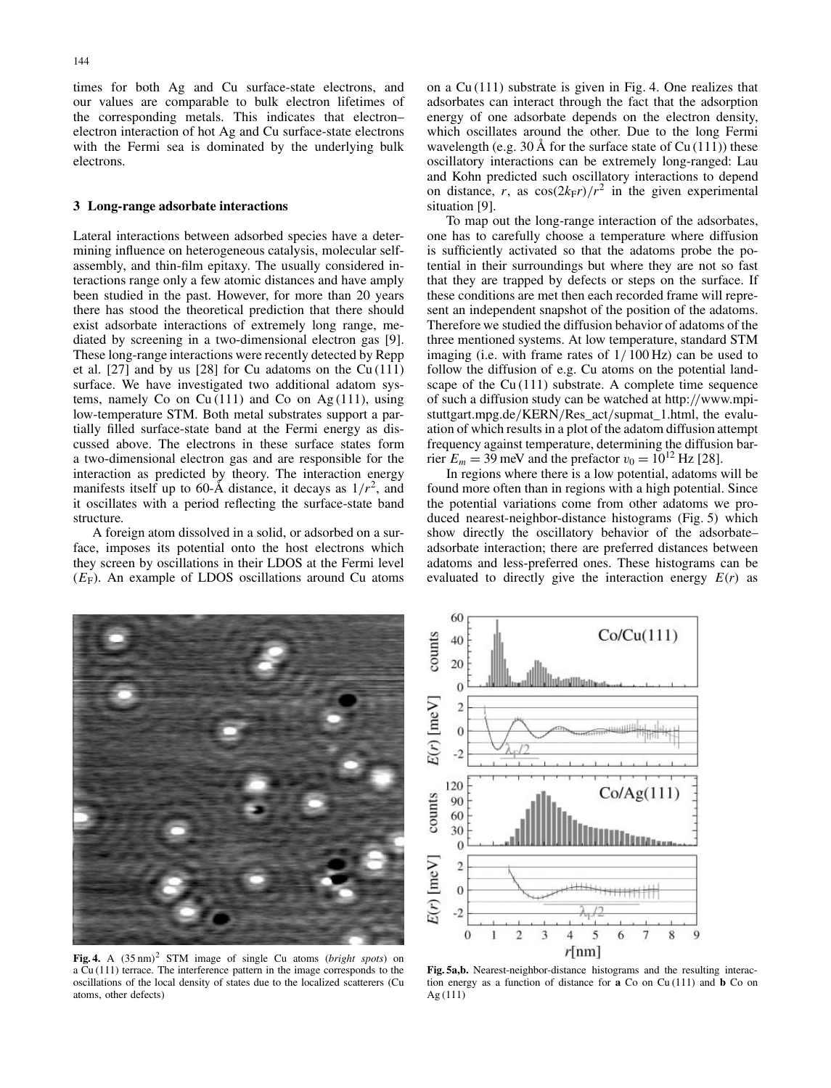times for both Ag and Cu surface-state electrons, and our values are comparable to bulk electron lifetimes of the corresponding metals. This indicates that electron– electron interaction of hot Ag and Cu surface-state electrons with the Fermi sea is dominated by the underlying bulk electrons.

#### **3 Long-range adsorbate interactions**

Lateral interactions between adsorbed species have a determining influence on heterogeneous catalysis, molecular selfassembly, and thin-film epitaxy. The usually considered interactions range only a few atomic distances and have amply been studied in the past. However, for more than 20 years there has stood the theoretical prediction that there should exist adsorbate interactions of extremely long range, mediated by screening in a two-dimensional electron gas [9]. These long-range interactions were recently detected by Repp et al. [27] and by us [28] for Cu adatoms on the Cu (111) surface. We have investigated two additional adatom systems, namely Co on Cu $(111)$  and Co on Ag $(111)$ , using low-temperature STM. Both metal substrates support a partially filled surface-state band at the Fermi energy as discussed above. The electrons in these surface states form a two-dimensional electron gas and are responsible for the interaction as predicted by theory. The interaction energy manifests itself up to 60-Å distance, it decays as  $1/r^2$ , and it oscillates with a period reflecting the surface-state band structure.

A foreign atom dissolved in a solid, or adsorbed on a surface, imposes its potential onto the host electrons which they screen by oscillations in their LDOS at the Fermi level  $(E_F)$ . An example of LDOS oscillations around Cu atoms on a Cu (111) substrate is given in Fig. 4. One realizes that adsorbates can interact through the fact that the adsorption energy of one adsorbate depends on the electron density, which oscillates around the other. Due to the long Fermi wavelength (e.g. 30 Å for the surface state of  $Cu(111)$ ) these oscillatory interactions can be extremely long-ranged: Lau and Kohn predicted such oscillatory interactions to depend on distance, *r*, as  $cos(2k_F r)/r^2$  in the given experimental situation [9].

To map out the long-range interaction of the adsorbates, one has to carefully choose a temperature where diffusion is sufficiently activated so that the adatoms probe the potential in their surroundings but where they are not so fast that they are trapped by defects or steps on the surface. If these conditions are met then each recorded frame will represent an independent snapshot of the position of the adatoms. Therefore we studied the diffusion behavior of adatoms of the three mentioned systems. At low temperature, standard STM imaging (i.e. with frame rates of 1/ 100 Hz) can be used to follow the diffusion of e.g. Cu atoms on the potential landscape of the Cu (111) substrate. A complete time sequence of such a diffusion study can be watched at http://www.mpistuttgart.mpg.de/KERN/Res\_act/supmat\_1.html, the evaluation of which results in a plot of the adatom diffusion attempt frequency against temperature, determining the diffusion barrier  $E_m = 39$  meV and the prefactor  $v_0 = 10^{12}$  Hz [28].

In regions where there is a low potential, adatoms will be found more often than in regions with a high potential. Since the potential variations come from other adatoms we produced nearest-neighbor-distance histograms (Fig. 5) which show directly the oscillatory behavior of the adsorbate– adsorbate interaction; there are preferred distances between adatoms and less-preferred ones. These histograms can be evaluated to directly give the interaction energy  $E(r)$  as



Fig. 4. A  $(35 \text{ nm})^2$  STM image of single Cu atoms (*bright spots*) on a Cu (111) terrace. The interference pattern in the image corresponds to the oscillations of the local density of states due to the localized scatterers (Cu atoms, other defects)



**Fig. 5a,b.** Nearest-neighbor-distance histograms and the resulting interaction energy as a function of distance for **a** Co on Cu (111) and **b** Co on Ag (111)